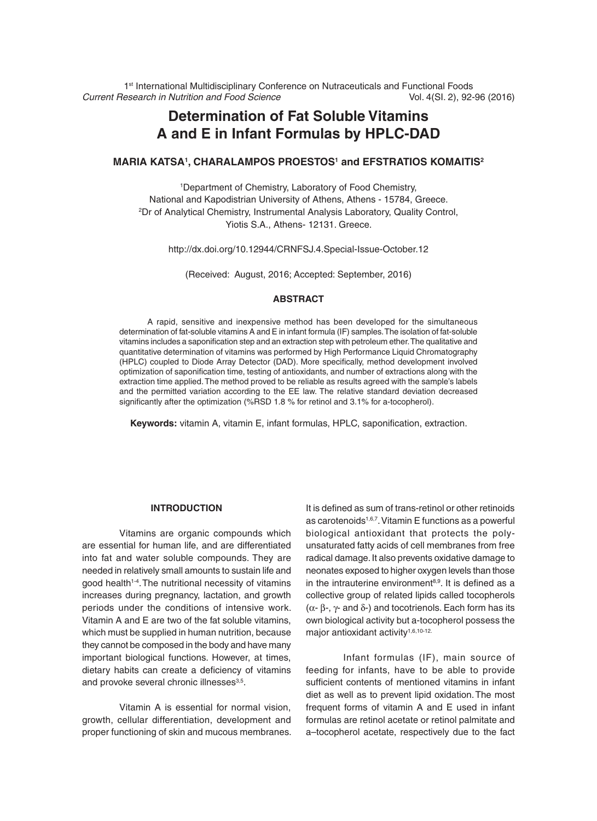1<sup>st</sup> International Multidisciplinary Conference on Nutraceuticals and Functional Foods *Current Research in Nutrition and Food Science* Vol. 4(SI. 2), 92-96 (2016)

# **Determination of Fat Soluble Vitamins A and E in Infant Formulas by HPLC-DAD**

### **Maria Katsa1 , Charalampos Proestos1 and Efstratios Komaitis2**

1 Department of Chemistry, Laboratory of Food Chemistry, National and Kapodistrian University of Athens, Athens - 15784, Greece. 2 Dr of Analytical Chemistry, Instrumental Analysis Laboratory, Quality Control, Yiotis S.A., Athens- 12131. Greece.

http://dx.doi.org/10.12944/CRNFSJ.4.Special-Issue-October.12

(Received: August, 2016; Accepted: September, 2016)

### **ABSTRACT**

A rapid, sensitive and inexpensive method has been developed for the simultaneous determination of fat-soluble vitamins A and E in infant formula (IF) samples. The isolation of fat-soluble vitamins includes a saponification step and an extraction step with petroleum ether. The qualitative and quantitative determination of vitamins was performed by High Performance Liquid Chromatography (HPLC) coupled to Diode Array Detector (DAD). More specifically, method development involved optimization of saponification time, testing of antioxidants, and number of extractions along with the extraction time applied. The method proved to be reliable as results agreed with the sample's labels and the permitted variation according to the EE law. The relative standard deviation decreased significantly after the optimization (%RSD 1.8 % for retinol and 3.1% for a-tocopherol).

**Keywords:** vitamin A, vitamin E, infant formulas, HPLC, saponification, extraction.

# **INTRODUCTION**

Vitamins are organic compounds which are essential for human life, and are differentiated into fat and water soluble compounds. They are needed in relatively small amounts to sustain life and good health<sup>1-4</sup>. The nutritional necessity of vitamins increases during pregnancy, lactation, and growth periods under the conditions of intensive work. Vitamin A and E are two of the fat soluble vitamins, which must be supplied in human nutrition, because they cannot be composed in the body and have many important biological functions. However, at times, dietary habits can create a deficiency of vitamins and provoke several chronic illnesses<sup>3,5</sup>.

Vitamin A is essential for normal vision, growth, cellular differentiation, development and proper functioning of skin and mucous membranes. It is defined as sum of trans-retinol or other retinoids as carotenoids<sup>1,6,7</sup>. Vitamin E functions as a powerful biological antioxidant that protects the polyunsaturated fatty acids of cell membranes from free radical damage. It also prevents oxidative damage to neonates exposed to higher oxygen levels than those in the intrauterine environment $8.9$ . It is defined as a collective group of related lipids called tocopherols  $(\alpha-\beta-\gamma)$  and  $\delta$ -) and tocotrienols. Each form has its own biological activity but a-tocopherol possess the major antioxidant activity<sup>1,6,10-12.</sup>

Infant formulas (IF), main source of feeding for infants, have to be able to provide sufficient contents of mentioned vitamins in infant diet as well as to prevent lipid oxidation.The most frequent forms of vitamin A and E used in infant formulas are retinol acetate or retinol palmitate and a–tocopherol acetate, respectively due to the fact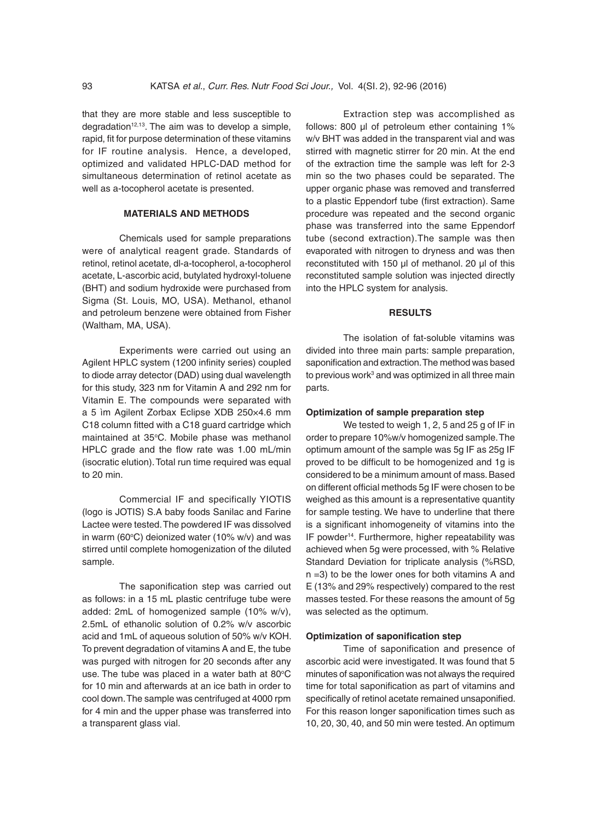that they are more stable and less susceptible to degradation $12,13$ . The aim was to develop a simple, rapid, fit for purpose determination of these vitamins for IF routine analysis. Hence, a developed, optimized and validated HPLC-DAD method for simultaneous determination of retinol acetate as well as a-tocopherol acetate is presented.

### **MATERIALS AND METHODS**

Chemicals used for sample preparations were of analytical reagent grade. Standards of retinol, retinol acetate, dl-a-tocopherol, a-tocopherol acetate, L-ascorbic acid, butylated hydroxyl-toluene (BHT) and sodium hydroxide were purchased from Sigma (St. Louis, MO, USA). Methanol, ethanol and petroleum benzene were obtained from Fisher (Waltham, MA, USA).

Experiments were carried out using an Agilent HPLC system (1200 infinity series) coupled to diode array detector (DAD) using dual wavelength for this study, 323 nm for Vitamin A and 292 nm for Vitamin E. The compounds were separated with a 5 ìm Agilent Zorbax Eclipse XDB 250×4.6 mm C18 column fitted with a C18 guard cartridge which maintained at 35°C. Mobile phase was methanol HPLC grade and the flow rate was 1.00 mL/min (isocratic elution). Total run time required was equal to 20 min.

Commercial IF and specifically YIOTIS (logo is JOTIS) S.A baby foods Sanilac and Farine Lactee were tested. The powdered IF was dissolved in warm (60 $\rm ^{\circ}C$ ) deionized water (10% w/v) and was stirred until complete homogenization of the diluted sample.

The saponification step was carried out as follows: in a 15 mL plastic centrifuge tube were added: 2mL of homogenized sample (10% w/v), 2.5mL of ethanolic solution of 0.2% w/v ascorbic acid and 1mL of aqueous solution of 50% w/v KOH. To prevent degradation of vitamins A and E, the tube was purged with nitrogen for 20 seconds after any use. The tube was placed in a water bath at 80 $\mathrm{°C}$ for 10 min and afterwards at an ice bath in order to cool down. The sample was centrifuged at 4000 rpm for 4 min and the upper phase was transferred into a transparent glass vial.

Extraction step was accomplished as follows: 800 µl of petroleum ether containing 1% w/v BHT was added in the transparent vial and was stirred with magnetic stirrer for 20 min. At the end of the extraction time the sample was left for 2-3 min so the two phases could be separated. The upper organic phase was removed and transferred to a plastic Eppendorf tube (first extraction). Same procedure was repeated and the second organic phase was transferred into the same Eppendorf tube (second extraction).The sample was then evaporated with nitrogen to dryness and was then reconstituted with 150 µl of methanol. 20 µl of this reconstituted sample solution was injected directly into the HPLC system for analysis.

# **RESULTS**

The isolation of fat-soluble vitamins was divided into three main parts: sample preparation, saponification and extraction. The method was based to previous work<sup>3</sup> and was optimized in all three main parts.

#### **Optimization of sample preparation step**

We tested to weigh 1, 2, 5 and 25 g of IF in order to prepare 10%w/v homogenized sample. The optimum amount of the sample was 5g IF as 25g IF proved to be difficult to be homogenized and 1g is considered to be a minimum amount of mass. Based on different official methods 5g IF were chosen to be weighed as this amount is a representative quantity for sample testing. We have to underline that there is a significant inhomogeneity of vitamins into the IF powder14. Furthermore, higher repeatability was achieved when 5g were processed, with % Relative Standard Deviation for triplicate analysis (%RSD, n =3) to be the lower ones for both vitamins A and E (13% and 29% respectively) compared to the rest masses tested. For these reasons the amount of 5g was selected as the optimum.

#### **Optimization of saponification step**

Time of saponification and presence of ascorbic acid were investigated. It was found that 5 minutes of saponification was not always the required time for total saponification as part of vitamins and specifically of retinol acetate remained unsaponified. For this reason longer saponification times such as 10, 20, 30, 40, and 50 min were tested. An optimum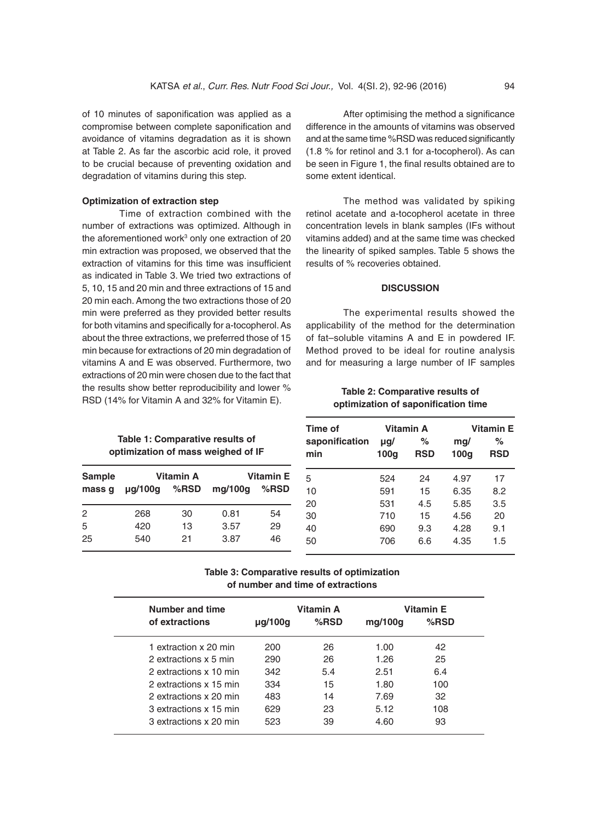of 10 minutes of saponification was applied as a compromise between complete saponification and avoidance of vitamins degradation as it is shown at Table 2. As far the ascorbic acid role, it proved to be crucial because of preventing oxidation and degradation of vitamins during this step.

### **Optimization of extraction step**

Time of extraction combined with the number of extractions was optimized. Although in the aforementioned work<sup>3</sup> only one extraction of 20 min extraction was proposed, we observed that the extraction of vitamins for this time was insufficient as indicated in Table 3. We tried two extractions of 5, 10, 15 and 20 min and three extractions of 15 and 20 min each. Among the two extractions those of 20 min were preferred as they provided better results for both vitamins and specifically for a-tocopherol. As about the three extractions, we preferred those of 15 min because for extractions of 20 min degradation of vitamins A and E was observed. Furthermore, two extractions of 20 min were chosen due to the fact that the results show better reproducibility and lower % RSD (14% for Vitamin A and 32% for Vitamin E).

> **Table 1: Comparative results of optimization of mass weighed of IF**

|               | optimization of mass weighed of IF |           |         |                  | min |  |
|---------------|------------------------------------|-----------|---------|------------------|-----|--|
| <b>Sample</b> |                                    | Vitamin A |         | <b>Vitamin E</b> | 5   |  |
| mass q        | $\mu$ q/100q                       | %RSD      | mq/100q | $%$ RSD          | 10  |  |
|               |                                    |           |         |                  | 20  |  |
| 2             | 268                                | 30        | 0.81    | 54               | 30  |  |
| 5             | 420                                | 13        | 3.57    | 29               | 40  |  |
| 25            | 540                                | 21        | 3.87    | 46               | 50  |  |

After optimising the method a significance difference in the amounts of vitamins was observed and at the same time %RSD was reduced significantly (1.8 % for retinol and 3.1 for a-tocopherol). As can be seen in Figure 1, the final results obtained are to some extent identical.

The method was validated by spiking retinol acetate and a-tocopherol acetate in three concentration levels in blank samples (IFs without vitamins added) and at the same time was checked the linearity of spiked samples. Table 5 shows the results of % recoveries obtained.

### **DISCUSSION**

The experimental results showed the applicability of the method for the determination of fat–soluble vitamins A and E in powdered IF. Method proved to be ideal for routine analysis and for measuring a large number of IF samples

**Table 2: Comparative results of optimization of saponification time**

| Time of               | Vitamin A        |                 | Vitamin E   |                 |  |
|-----------------------|------------------|-----------------|-------------|-----------------|--|
| saponification<br>min | $\mu$ g/<br>100q | %<br><b>RSD</b> | mg/<br>100g | ℅<br><b>RSD</b> |  |
| 5                     | 524              | 24              | 4.97        | 17              |  |
| 10                    | 591              | 15              | 6.35        | 8.2             |  |
| 20                    | 531              | 4.5             | 5.85        | 3.5             |  |
| 30                    | 710              | 15              | 4.56        | 20              |  |
| 40                    | 690              | 9.3             | 4.28        | 9.1             |  |
| 50                    | 706              | 6.6             | 4.35        | 1.5             |  |

# **Table 3: Comparative results of optimization of number and time of extractions**

| Number and time        | Vitamin A    |         | <b>Vitamin E</b> |      |
|------------------------|--------------|---------|------------------|------|
| of extractions         | $\mu$ g/100g | $%$ RSD | mq/100q          | %RSD |
| 1 extraction x 20 min  | 200          | 26      | 1.00             | 42   |
| 2 extractions x 5 min  | 290          | 26      | 1.26             | 25   |
| 2 extractions x 10 min | 342          | 5.4     | 2.51             | 6.4  |
| 2 extractions x 15 min | 334          | 15      | 1.80             | 100  |
| 2 extractions x 20 min | 483          | 14      | 7.69             | 32   |
| 3 extractions x 15 min | 629          | 23      | 5.12             | 108  |
| 3 extractions x 20 min | 523          | 39      | 4.60             | 93   |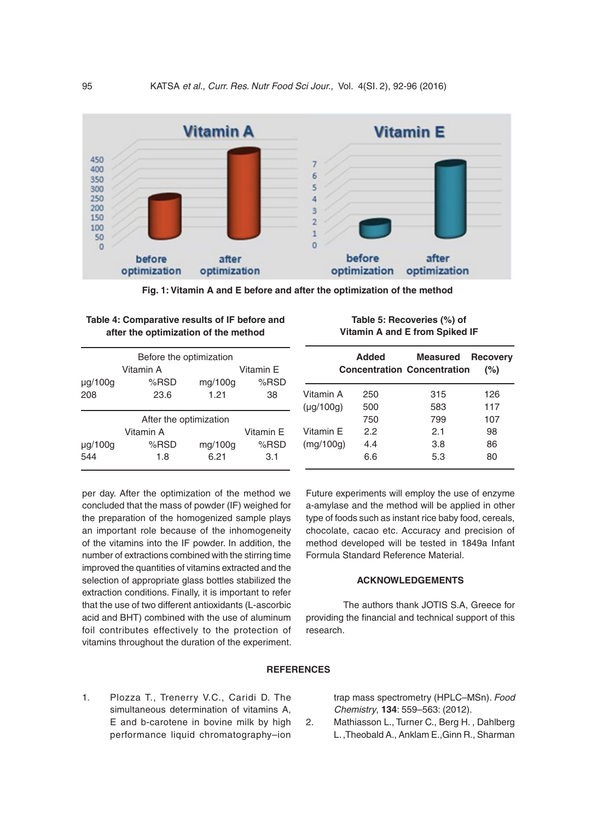

**Fig. 1: Vitamin A and E before and after the optimization of the method**

| Table 4: Comparative results of IF before and |  |
|-----------------------------------------------|--|
| after the optimization of the method          |  |

| Before the optimization |           |         |           |  |  |  |
|-------------------------|-----------|---------|-----------|--|--|--|
|                         | Vitamin A |         | Vitamin E |  |  |  |
| $\mu$ g/100g            | %RSD      | mg/100g | %RSD      |  |  |  |
| 208                     | 23.6      | 1.21    | 38        |  |  |  |
|                         |           |         |           |  |  |  |
| After the optimization  |           |         |           |  |  |  |
|                         | Vitamin A |         | Vitamin E |  |  |  |
| µg/100g                 | %RSD      | mg/100g | $%$ RSD   |  |  |  |
| 544                     | 1.8       | 6.21    | 3.1       |  |  |  |
|                         |           |         |           |  |  |  |

| Table 5: Recoveries (%) of     |
|--------------------------------|
| Vitamin A and E from Spiked IF |

|                | Added | <b>Measured</b><br><b>Concentration Concentration</b> | <b>Recovery</b><br>(%) |
|----------------|-------|-------------------------------------------------------|------------------------|
| Vitamin A      | 250   | 315                                                   | 126                    |
| $(\mu g/100g)$ | 500   | 583                                                   | 117                    |
|                | 750   | 799                                                   | 107                    |
| Vitamin E      | 2.2   | 2.1                                                   | 98                     |
| (mq/100q)      | 4.4   | 3.8                                                   | 86                     |
|                | 6.6   | 5.3                                                   | 80                     |

per day. After the optimization of the method we concluded that the mass of powder (IF) weighed for the preparation of the homogenized sample plays an important role because of the inhomogeneity of the vitamins into the IF powder. In addition, the number of extractions combined with the stirring time improved the quantities of vitamins extracted and the selection of appropriate glass bottles stabilized the extraction conditions. Finally, it is important to refer that the use of two different antioxidants (L-ascorbic acid and BHT) combined with the use of aluminum foil contributes effectively to the protection of vitamins throughout the duration of the experiment. Future experiments will employ the use of enzyme a-amylase and the method will be applied in other type of foods such as instant rice baby food, cereals, chocolate, cacao etc. Accuracy and precision of method developed will be tested in 1849a Infant Formula Standard Reference Material.

## **ACKNOWLEDGEMENTS**

The authors thank JOTIS S.A, Greece for providing the financial and technical support of this research.

# **REFERENCES**

1. Plozza T., Trenerry V.C., Caridi D. The simultaneous determination of vitamins A, E and b-carotene in bovine milk by high performance liquid chromatography–ion trap mass spectrometry (HPLC–MSn). *Food Chemistry*, **134**: 559–563: (2012).

2. Mathiasson L., Turner C., Berg H. , Dahlberg L. ,Theobald A., Anklam E.,Ginn R., Sharman